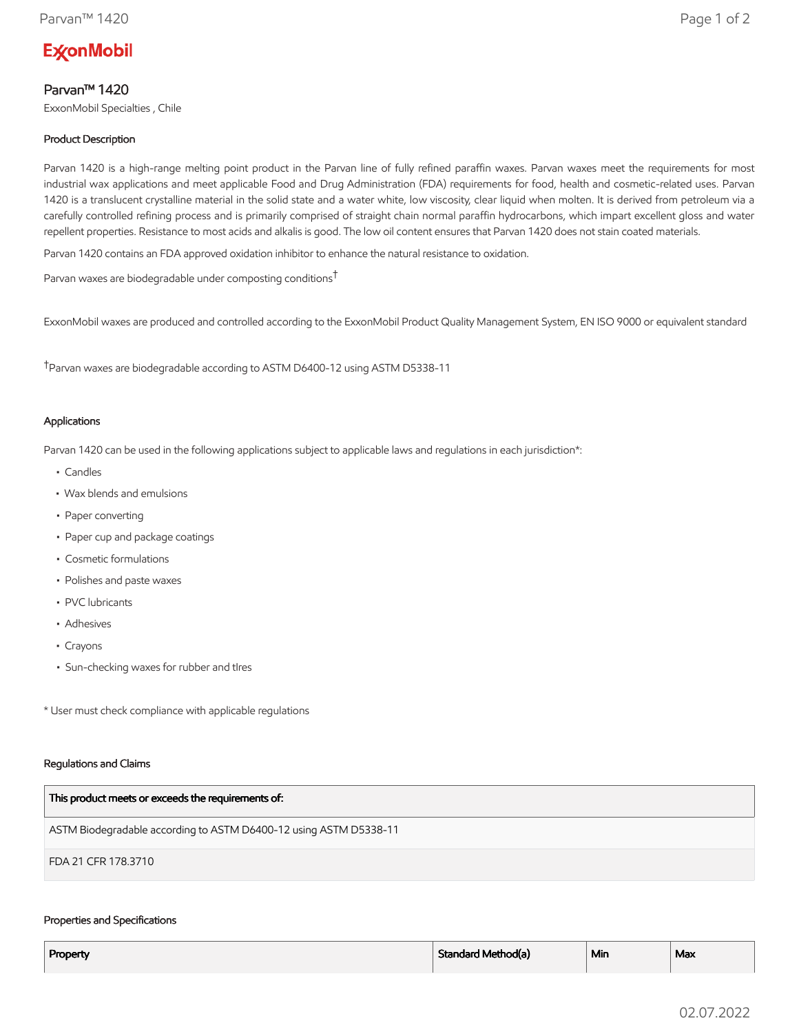# **ExconMobil**

# Parvan™ 1420

ExxonMobil Specialties , Chile

# Product Description

Parvan 1420 is a high-range melting point product in the Parvan line of fully refined paraffin waxes. Parvan waxes meet the requirements for most industrial wax applications and meet applicable Food and Drug Administration (FDA) requirements for food, health and cosmetic-related uses. Parvan 1420 is a translucent crystalline material in the solid state and a water white, low viscosity, clear liquid when molten. It is derived from petroleum via a carefully controlled refining process and is primarily comprised of straight chain normal paraffin hydrocarbons, which impart excellent gloss and water repellent properties. Resistance to most acids and alkalis is good. The low oil content ensures that Parvan 1420 does not stain coated materials.

Parvan 1420 contains an FDA approved oxidation inhibitor to enhance the natural resistance to oxidation.

Parvan waxes are biodegradable under composting conditions†

ExxonMobil waxes are produced and controlled according to the ExxonMobil Product Quality Management System, EN ISO 9000 or equivalent standard

†Parvan waxes are biodegradable according to ASTM D6400-12 using ASTM D5338-11

## Applications

Parvan 1420 can be used in the following applications subject to applicable laws and regulations in each jurisdiction\*:

- Candles
- Wax blends and emulsions
- Paper converting
- Paper cup and package coatings
- Cosmetic formulations
- Polishes and paste waxes
- PVC lubricants
- Adhesives
- Crayons
- Sun-checking waxes for rubber and tIres

\* User must check compliance with applicable regulations

#### Regulations and Claims

| This product meets or exceeds the requirements of:                |
|-------------------------------------------------------------------|
| ASTM Biodegradable according to ASTM D6400-12 using ASTM D5338-11 |
| FDA 21 CFR 178.3710                                               |

## Properties and Specifications

| Property | Standard Method(a) | <sup>⊥</sup> Min | Max |
|----------|--------------------|------------------|-----|
|          |                    |                  |     |